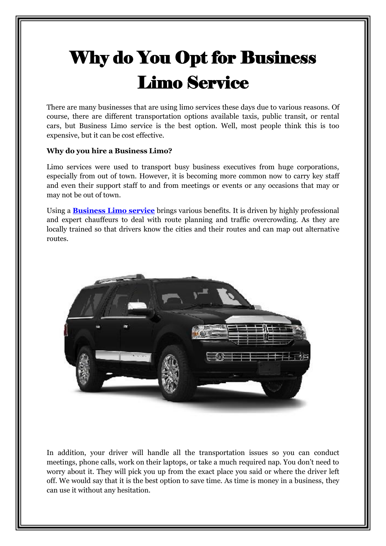## Why do You Opt for Business Limo Service

There are many businesses that are using limo services these days due to various reasons. Of course, there are different transportation options available taxis, public transit, or rental cars, but Business Limo service is the best option. Well, most people think this is too expensive, but it can be cost effective.

## **Why do you hire a Business Limo?**

Limo services were used to transport busy business executives from huge corporations, especially from out of town. However, it is becoming more common now to carry key staff and even their support staff to and from meetings or events or any occasions that may or may not be out of town.

Using a **[Business Limo service](https://ctrisingstarlimo.com/services/business-and-corporate-meetings)** brings various benefits. It is driven by highly professional and expert chauffeurs to deal with route planning and traffic overcrowding. As they are locally trained so that drivers know the cities and their routes and can map out alternative routes.



In addition, your driver will handle all the transportation issues so you can conduct meetings, phone calls, work on their laptops, or take a much required nap. You don't need to worry about it. They will pick you up from the exact place you said or where the driver left off. We would say that it is the best option to save time. As time is money in a business, they can use it without any hesitation.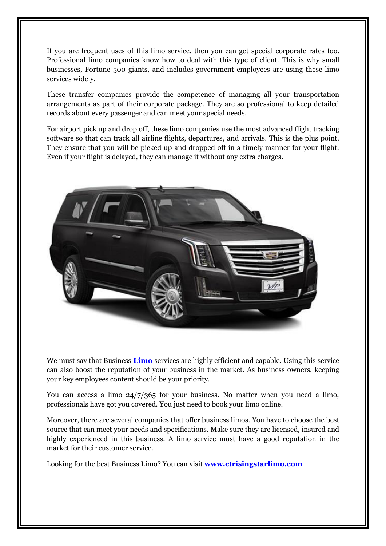If you are frequent uses of this limo service, then you can get special corporate rates too. Professional limo companies know how to deal with this type of client. This is why small businesses, Fortune 500 giants, and includes government employees are using these limo services widely.

These transfer companies provide the competence of managing all your transportation arrangements as part of their corporate package. They are so professional to keep detailed records about every passenger and can meet your special needs.

For airport pick up and drop off, these limo companies use the most advanced flight tracking software so that can track all airline flights, departures, and arrivals. This is the plus point. They ensure that you will be picked up and dropped off in a timely manner for your flight. Even if your flight is delayed, they can manage it without any extra charges.



We must say that Business **[Limo](https://en.wikipedia.org/wiki/Limo)** services are highly efficient and capable. Using this service can also boost the reputation of your business in the market. As business owners, keeping your key employees content should be your priority.

You can access a limo  $24/7/365$  for your business. No matter when you need a limo, professionals have got you covered. You just need to book your limo online.

Moreover, there are several companies that offer business limos. You have to choose the best source that can meet your needs and specifications. Make sure they are licensed, insured and highly experienced in this business. A limo service must have a good reputation in the market for their customer service.

Looking for the best Business Limo? You can visit **[www.ctrisingstarlimo.com](http://www.ctrisingstarlimo.com/)**